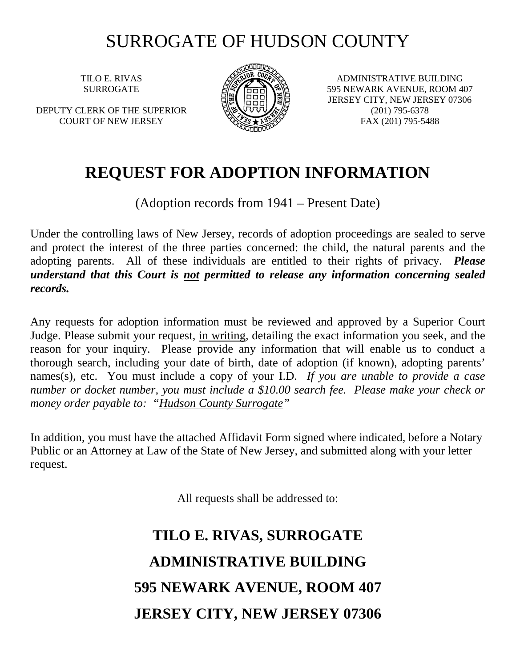## SURROGATE OF HUDSON COUNTY

TILO E. RIVAS SURROGATE

DEPUTY CLERK OF THE SUPERIOR COURT OF NEW JERSEY



ADMINISTRATIVE BUILDING 595 NEWARK AVENUE, ROOM 407 JERSEY CITY, NEW JERSEY 07306 (201) 795-6378 FAX (201) 795-5488

## **REQUEST FOR ADOPTION INFORMATION**

(Adoption records from 1941 – Present Date)

Under the controlling laws of New Jersey, records of adoption proceedings are sealed to serve and protect the interest of the three parties concerned: the child, the natural parents and the adopting parents. All of these individuals are entitled to their rights of privacy. *Please understand that this Court is not permitted to release any information concerning sealed records.* 

Any requests for adoption information must be reviewed and approved by a Superior Court Judge. Please submit your request, in writing, detailing the exact information you seek, and the reason for your inquiry. Please provide any information that will enable us to conduct a thorough search, including your date of birth, date of adoption (if known), adopting parents' names(s), etc. You must include a copy of your I.D. *If you are unable to provide a case number or docket number, you must include a \$10.00 search fee. Please make your check or money order payable to: "Hudson County Surrogate"*

In addition, you must have the attached Affidavit Form signed where indicated, before a Notary Public or an Attorney at Law of the State of New Jersey, and submitted along with your letter request.

All requests shall be addressed to:

## **TILO E. RIVAS, SURROGATE ADMINISTRATIVE BUILDING 595 NEWARK AVENUE, ROOM 407 JERSEY CITY, NEW JERSEY 07306**